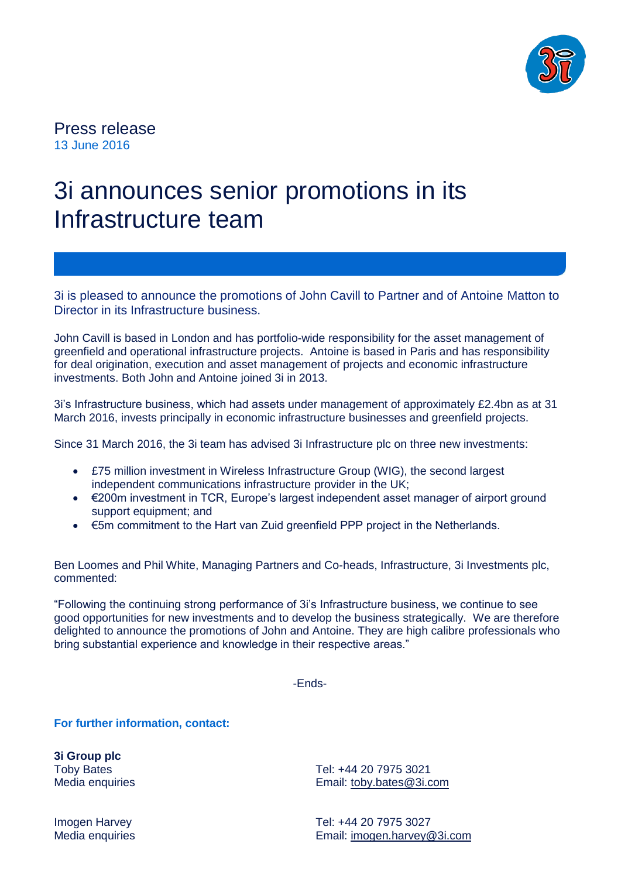

Press release 13 June 2016

## 3i announces senior promotions in its Infrastructure team

3i is pleased to announce the promotions of John Cavill to Partner and of Antoine Matton to Director in its Infrastructure business.

John Cavill is based in London and has portfolio-wide responsibility for the asset management of greenfield and operational infrastructure projects. Antoine is based in Paris and has responsibility for deal origination, execution and asset management of projects and economic infrastructure investments. Both John and Antoine joined 3i in 2013.

3i's Infrastructure business, which had assets under management of approximately £2.4bn as at 31 March 2016, invests principally in economic infrastructure businesses and greenfield projects.

Since 31 March 2016, the 3i team has advised 3i Infrastructure plc on three new investments:

- £75 million investment in Wireless Infrastructure Group (WIG), the second largest independent communications infrastructure provider in the UK;
- €200m investment in TCR, Europe's largest independent asset manager of airport ground support equipment; and
- €5m commitment to the Hart van Zuid greenfield PPP project in the Netherlands.

Ben Loomes and Phil White, Managing Partners and Co-heads, Infrastructure, 3i Investments plc, commented:

"Following the continuing strong performance of 3i's Infrastructure business, we continue to see good opportunities for new investments and to develop the business strategically. We are therefore delighted to announce the promotions of John and Antoine. They are high calibre professionals who bring substantial experience and knowledge in their respective areas."

-Ends-

**For further information, contact:**

**3i Group plc** Toby Bates Media enquiries

Tel: +44 20 7975 3021 Email: [toby.bates@3i.com](mailto:toby.bates@3i.com)

Imogen Harvey Media enquiries Tel: +44 20 7975 3027 Email: [imogen.harvey@3i.com](mailto:imogen.harvey@3i.com)